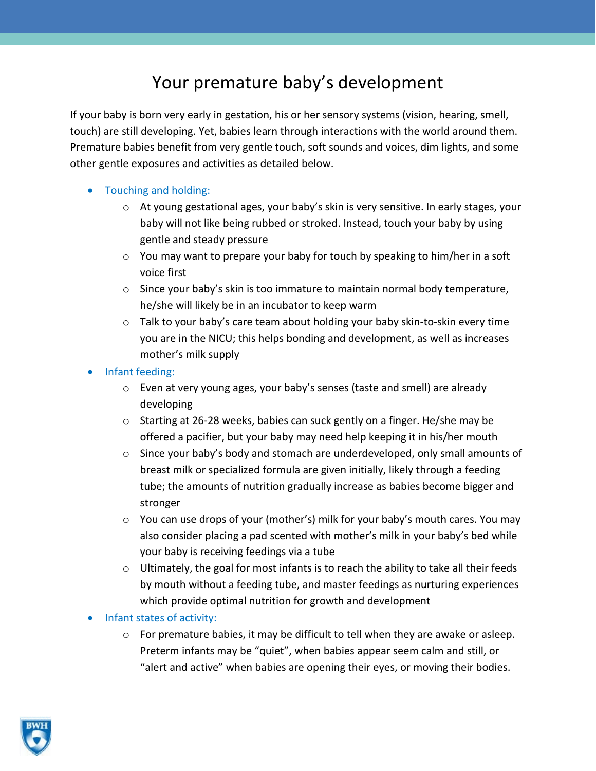## Your premature baby's development

If your baby is born very early in gestation, his or her sensory systems (vision, hearing, smell, touch) are still developing. Yet, babies learn through interactions with the world around them. Premature babies benefit from very gentle touch, soft sounds and voices, dim lights, and some other gentle exposures and activities as detailed below.

## • Touching and holding:

- $\circ$  At young gestational ages, your baby's skin is very sensitive. In early stages, your baby will not like being rubbed or stroked. Instead, touch your baby by using gentle and steady pressure
- o You may want to prepare your baby for touch by speaking to him/her in a soft voice first
- o Since your baby's skin is too immature to maintain normal body temperature, he/she will likely be in an incubator to keep warm
- $\circ$  Talk to your baby's care team about holding your baby skin-to-skin every time you are in the NICU; this helps bonding and development, as well as increases mother's milk supply
- Infant feeding:
	- $\circ$  Even at very young ages, your baby's senses (taste and smell) are already developing
	- $\circ$  Starting at 26-28 weeks, babies can suck gently on a finger. He/she may be offered a pacifier, but your baby may need help keeping it in his/her mouth
	- $\circ$  Since your baby's body and stomach are underdeveloped, only small amounts of breast milk or specialized formula are given initially, likely through a feeding tube; the amounts of nutrition gradually increase as babies become bigger and stronger
	- o You can use drops of your (mother's) milk for your baby's mouth cares. You may also consider placing a pad scented with mother's milk in your baby's bed while your baby is receiving feedings via a tube
	- $\circ$  Ultimately, the goal for most infants is to reach the ability to take all their feeds by mouth without a feeding tube, and master feedings as nurturing experiences which provide optimal nutrition for growth and development

• Infant states of activity:

 $\circ$  For premature babies, it may be difficult to tell when they are awake or asleep. Preterm infants may be "quiet", when babies appear seem calm and still, or "alert and active" when babies are opening their eyes, or moving their bodies.